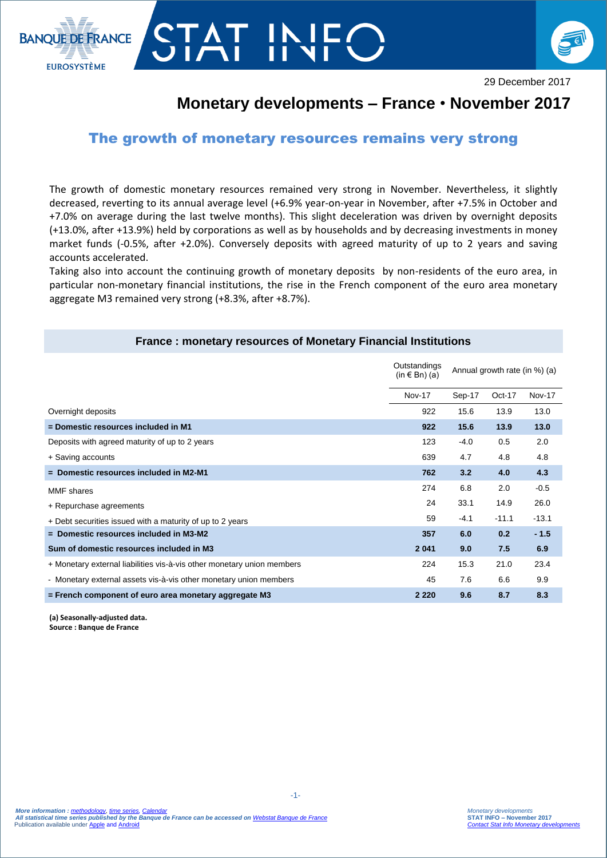

## **AT IN**



29 December 2017

## **Monetary developments – France** • **November 2017**

## The growth of monetary resources remains very strong

The growth of domestic monetary resources remained very strong in November. Nevertheless, it slightly decreased, reverting to its annual average level (+6.9% year-on-year in November, after +7.5% in October and +7.0% on average during the last twelve months). This slight deceleration was driven by overnight deposits (+13.0%, after +13.9%) held by corporations as well as by households and by decreasing investments in money market funds (-0.5%, after +2.0%). Conversely deposits with agreed maturity of up to 2 years and saving accounts accelerated.

Taking also into account the continuing growth of monetary deposits by non-residents of the euro area, in particular non-monetary financial institutions, the rise in the French component of the euro area monetary aggregate M3 remained very strong (+8.3%, after +8.7%).

**France : monetary resources of Monetary Financial Institutions**

|                                                                        | Outstandings<br>(in $\in$ Bn) (a) | Annual growth rate (in %) (a) |         |               |
|------------------------------------------------------------------------|-----------------------------------|-------------------------------|---------|---------------|
|                                                                        | <b>Nov-17</b>                     | Sep-17                        | Oct-17  | <b>Nov-17</b> |
| Overnight deposits                                                     | 922                               | 15.6                          | 13.9    | 13.0          |
| = Domestic resources included in M1                                    | 922                               | 15.6                          | 13.9    | 13.0          |
| Deposits with agreed maturity of up to 2 years                         | 123                               | $-4.0$                        | 0.5     | 2.0           |
| + Saving accounts                                                      | 639                               | 4.7                           | 4.8     | 4.8           |
| $=$ Domestic resources included in M2-M1                               | 762                               | 3.2                           | 4.0     | 4.3           |
| <b>MMF</b> shares                                                      | 274                               | 6.8                           | 2.0     | $-0.5$        |
| + Repurchase agreements                                                | 24                                | 33.1                          | 14.9    | 26.0          |
| + Debt securities issued with a maturity of up to 2 years              | 59                                | $-4.1$                        | $-11.1$ | $-13.1$       |
| $=$ Domestic resources included in M3-M2                               | 357                               | 6.0                           | 0.2     | $-1.5$        |
| Sum of domestic resources included in M3                               | 2 0 4 1                           | 9.0                           | 7.5     | 6.9           |
| + Monetary external liabilities vis-à-vis other monetary union members | 224                               | 15.3                          | 21.0    | 23.4          |
| - Monetary external assets vis-à-vis other monetary union members      | 45                                | 7.6                           | 6.6     | 9.9           |
| = French component of euro area monetary aggregate M3                  | 2 2 2 0                           | 9.6                           | 8.7     | 8.3           |

**(a) Seasonally-adjusted data. Source : Banque de France**